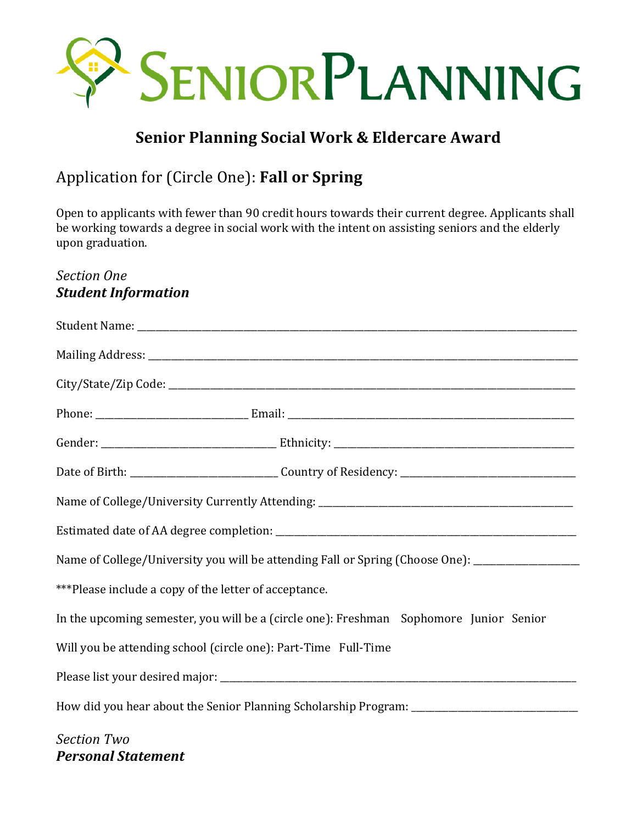

# **Senior Planning Social Work & Eldercare Award**

# Application for (Circle One): **Fall or Spring**

Open to applicants with fewer than 90 credit hours towards their current degree. Applicants shall be working towards a degree in social work with the intent on assisting seniors and the elderly upon graduation.

# *Section One* **Student Information**

|                                                                                        | Name of College/University you will be attending Fall or Spring (Choose One): _____________________ |  |
|----------------------------------------------------------------------------------------|-----------------------------------------------------------------------------------------------------|--|
| ***Please include a copy of the letter of acceptance.                                  |                                                                                                     |  |
| In the upcoming semester, you will be a (circle one): Freshman Sophomore Junior Senior |                                                                                                     |  |
| Will you be attending school (circle one): Part-Time Full-Time                         |                                                                                                     |  |
|                                                                                        |                                                                                                     |  |
|                                                                                        |                                                                                                     |  |
| <b>Section Two</b>                                                                     |                                                                                                     |  |

*Personal Statement*